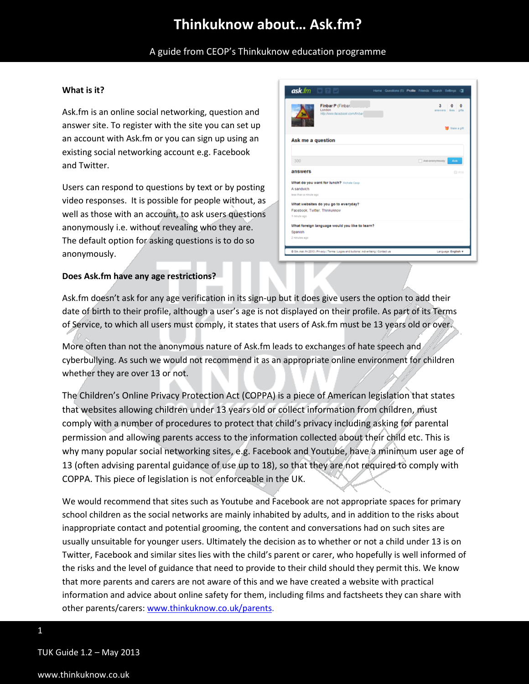A guide from CEOP's Thinkuknow education programme

 $ask$ .fm

answers

Ask me a question

What do you want for lunch? A sandwich

Facebook, Twitter, Th

What websites do you go to everyday?

Finbar P (Finbar

 $3^{\circ}$  $\mathbf{0} \parallel \mathbf{0}$ 

**12** Make a gift

#### **What is it?**

Ask.fm is an online social networking, question and answer site. To register with the site you can set up an account with Ask.fm or you can sign up using an existing social networking account e.g. Facebook and Twitter.

Users can respond to questions by text or by posting video responses. It is possible for people without, as well as those with an account, to ask users questions anonymously i.e. without revealing who they are. The default option for asking questions is to do so anonymously.



#### **Does Ask.fm have any age restrictions?**

Ask.fm doesn't ask for any age verification in its sign-up but it does give users the option to add their date of birth to their profile, although a user's age is not displayed on their profile. As part of its Terms of Service, to which all users must comply, it states that users of Ask.fm must be 13 years old or over.

More often than not the anonymous nature of Ask.fm leads to exchanges of hate speech and cyberbullying. As such we would not recommend it as an appropriate online environment for children whether they are over 13 or not.

The Children's Online Privacy Protection Act (COPPA) is a piece of American legislation that states that websites allowing children under 13 years old or collect information from children, must comply with a number of procedures to protect that child's privacy including asking for parental permission and allowing parents access to the information collected about their child etc. This is why many popular social networking sites, e.g. Facebook and Youtube, have a minimum user age of 13 (often advising parental guidance of use up to 18), so that they are not required to comply with COPPA. This piece of legislation is not enforceable in the UK.

We would recommend that sites such as Youtube and Facebook are not appropriate spaces for primary school children as the social networks are mainly inhabited by adults, and in addition to the risks about inappropriate contact and potential grooming, the content and conversations had on such sites are usually unsuitable for younger users. Ultimately the decision as to whether or not a child under 13 is on Twitter, Facebook and similar sites lies with the child's parent or carer, who hopefully is well informed of the risks and the level of guidance that need to provide to their child should they permit this. We know that more parents and carers are not aware of this and we have created a website with practical information and advice about online safety for them, including films and factsheets they can share with other parents/carers: [www.thinkuknow.co.uk/parents.](http://www.thinkuknow.co.uk/parents)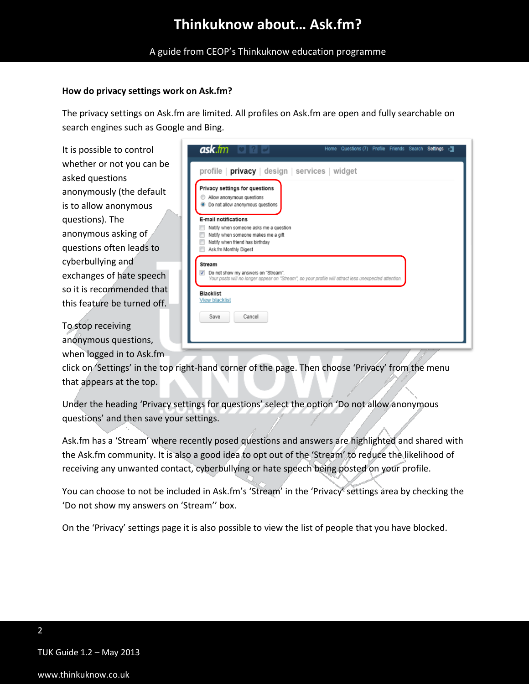A guide from CEOP's Thinkuknow education programme

#### **How do privacy settings work on Ask.fm?**

The privacy settings on Ask.fm are limited. All profiles on Ask.fm are open and fully searchable on search engines such as Google and Bing.

It is possible to control whether or not you can be asked questions anonymously (the default is to allow anonymous questions). The anonymous asking of questions often leads to cyberbullying and exchanges of hate speech so it is recommended that this feature be turned off.

To stop receiving anonymous questions, when logged in to Ask.fm

| Privacy settings for questions<br>Allow anonymous questions<br>Do not allow anonymous questions<br>$\circ$                                      |                                                                                                       |
|-------------------------------------------------------------------------------------------------------------------------------------------------|-------------------------------------------------------------------------------------------------------|
| <b>E-mail notifications</b><br>Notify when someone asks me a question<br>Notify when someone makes me a gift<br>Notify when friend has birthday |                                                                                                       |
| Ask.fm Monthly Digest<br><b>Stream</b><br>Do not show my answers on "Stream".<br>$\overline{\mathsf{v}}$                                        |                                                                                                       |
|                                                                                                                                                 | Your posts will no longer appear on "Stream", so your profile will attract less unexpected attention. |
| <b>Blacklist</b>                                                                                                                                |                                                                                                       |

click on 'Settings' in the top right-hand corner of the page. Then choose 'Privacy' from the menu that appears at the top.

Under the heading 'Privacy settings for questions' select the option 'Do not allow anonymous questions' and then save your settings.

Ask.fm has a 'Stream' where recently posed questions and answers are highlighted and shared with the Ask.fm community. It is also a good idea to opt out of the 'Stream' to reduce the likelihood of receiving any unwanted contact, cyberbullying or hate speech being posted on your profile.

You can choose to not be included in Ask.fm's 'Stream' in the 'Privacy' settings area by checking the 'Do not show my answers on 'Stream'' box.

On the 'Privacy' settings page it is also possible to view the list of people that you have blocked.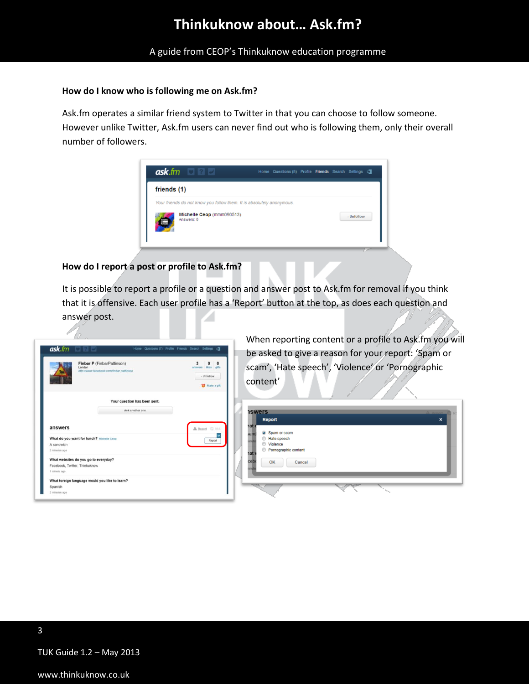A guide from CEOP's Thinkuknow education programme

#### **How do I know who is following me on Ask.fm?**

Ask.fm operates a similar friend system to Twitter in that you can choose to follow someone. However unlike Twitter, Ask.fm users can never find out who is following them, only their overall number of followers.



#### **How do I report a post or profile to Ask.fm?**

It is possible to report a profile or a question and answer post to Ask.fm for removal if you think that it is offensive. Each user profile has a 'Report' button at the top, as does each question and answer post.

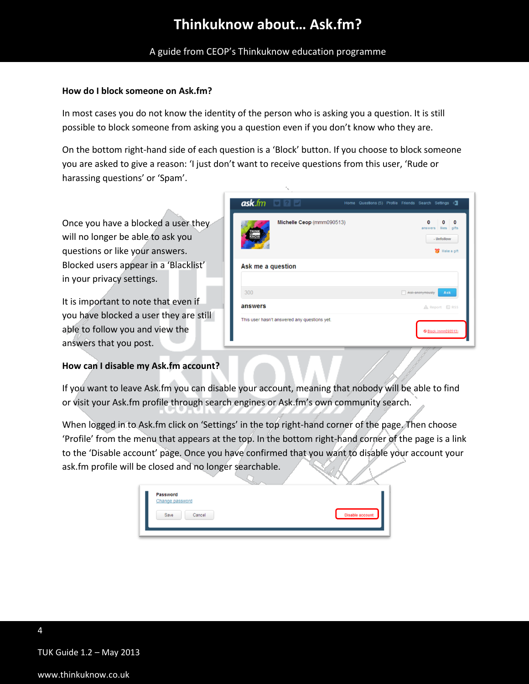A guide from CEOP's Thinkuknow education programme

### **How do I block someone on Ask.fm?**

In most cases you do not know the identity of the person who is asking you a question. It is still possible to block someone from asking you a question even if you don't know who they are.

On the bottom right-hand side of each question is a 'Block' button. If you choose to block someone you are asked to give a reason: 'I just don't want to receive questions from this user, 'Rude or harassing questions' or 'Spam'.

Once you have a blocked a user they will no longer be able to ask you questions or like your answers. Blocked users appear in a 'Blacklist' in your privacy settings.

It is important to note that even if you have blocked a user they are still able to follow you and view the answers that you post.

### **How can I disable my Ask.fm account?**

|                   | $ask$ fm $\Box$                              |                           |                | Home Questions (5) Profile Friends Search Settings C |                                                                          |
|-------------------|----------------------------------------------|---------------------------|----------------|------------------------------------------------------|--------------------------------------------------------------------------|
|                   |                                              | Michelle Ceop (mmm090513) |                | $\Omega$                                             | $\bf{0}$<br>$\bf{0}$<br>answers likes gifts<br>- Unfollow<br>Make a gift |
| Ask me a question |                                              |                           |                |                                                      |                                                                          |
| 300               |                                              |                           |                | Ask anonymously                                      | Ask                                                                      |
| answers           |                                              |                           | ▲ Report □ RSS |                                                      |                                                                          |
|                   | This user hasn't answered any questions yet. |                           |                |                                                      |                                                                          |
|                   |                                              |                           |                |                                                      | SBlock (mmm090513)                                                       |

If you want to leave Ask.fm you can disable your account, meaning that nobody will be able to find or visit your Ask.fm profile through search engines or Ask.fm's own community search.

When logged in to Ask.fm click on 'Settings' in the top right-hand corner of the page. Then choose 'Profile' from the menu that appears at the top. In the bottom right-hand corner of the page is a link to the 'Disable account' page. Once you have confirmed that you want to disable your account your ask.fm profile will be closed and no longer searchable.

| <b>Password</b>        |                        |
|------------------------|------------------------|
| <b>Change password</b> |                        |
|                        |                        |
| Save<br>Cancel         | <b>Disable account</b> |
|                        |                        |

TUK Guide 1.2 – May 2013